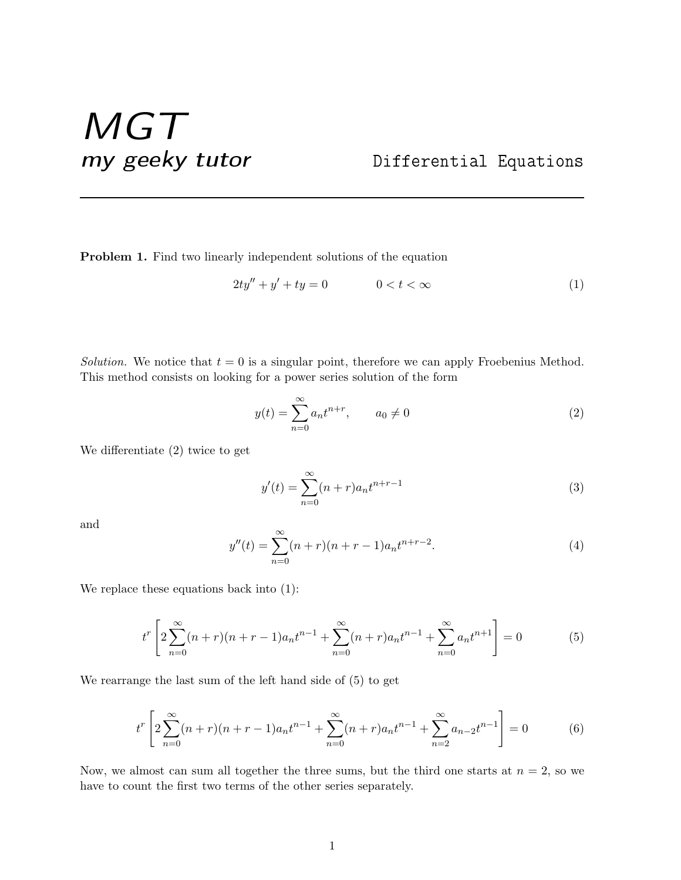## MGT my geeky tutor Differential Equations

Problem 1. Find two linearly independent solutions of the equation

$$
2ty'' + y' + ty = 0 \qquad \qquad 0 < t < \infty \tag{1}
$$

Solution. We notice that  $t = 0$  is a singular point, therefore we can apply Froebenius Method. This method consists on looking for a power series solution of the form

$$
y(t) = \sum_{n=0}^{\infty} a_n t^{n+r}, \qquad a_0 \neq 0
$$
 (2)

We differentiate (2) twice to get

$$
y'(t) = \sum_{n=0}^{\infty} (n+r)a_n t^{n+r-1}
$$
 (3)

and

$$
y''(t) = \sum_{n=0}^{\infty} (n+r)(n+r-1)a_n t^{n+r-2}.
$$
 (4)

We replace these equations back into (1):

$$
t^r \left[ 2\sum_{n=0}^{\infty} (n+r)(n+r-1)a_n t^{n-1} + \sum_{n=0}^{\infty} (n+r)a_n t^{n-1} + \sum_{n=0}^{\infty} a_n t^{n+1} \right] = 0 \tag{5}
$$

We rearrange the last sum of the left hand side of (5) to get

$$
t^r \left[ 2\sum_{n=0}^{\infty} (n+r)(n+r-1)a_n t^{n-1} + \sum_{n=0}^{\infty} (n+r)a_n t^{n-1} + \sum_{n=2}^{\infty} a_{n-2} t^{n-1} \right] = 0 \tag{6}
$$

Now, we almost can sum all together the three sums, but the third one starts at  $n = 2$ , so we have to count the first two terms of the other series separately.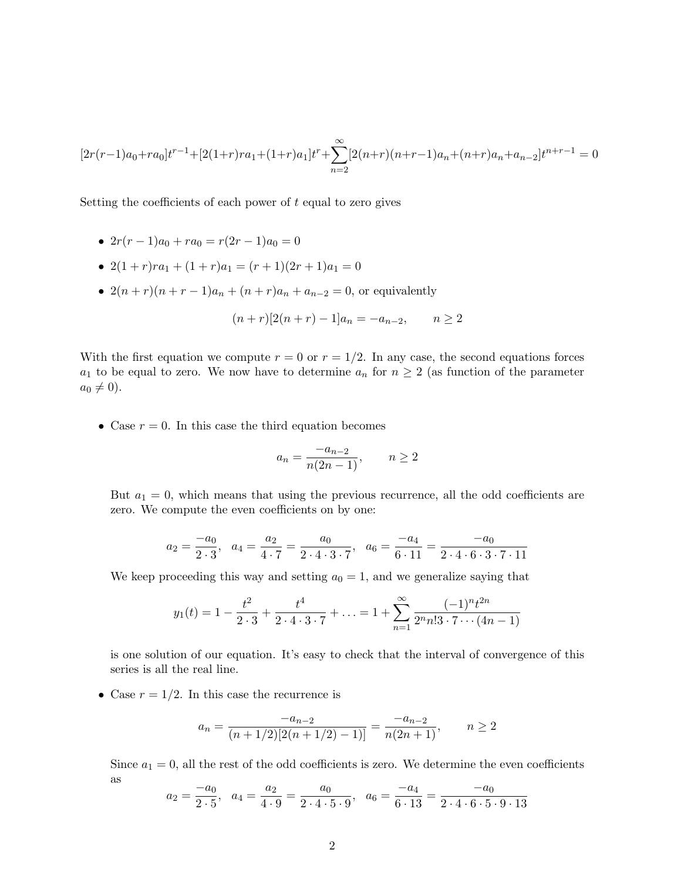$$
[2r(r-1)a_0+ra_0]t^{r-1}+[2(1+r)ra_1+(1+r)a_1]t^r+\sum_{n=2}^{\infty}[2(n+r)(n+r-1)a_n+(n+r)a_n+a_{n-2}]t^{n+r-1}=0
$$

Setting the coefficients of each power of  $t$  equal to zero gives

- $2r(r-1)a_0 + ra_0 = r(2r-1)a_0 = 0$
- $2(1+r)ra_1 + (1+r)a_1 = (r+1)(2r+1)a_1 = 0$
- $2(n + r)(n + r 1)a_n + (n + r)a_n + a_{n-2} = 0$ , or equivalently

$$
(n+r)[2(n+r)-1]a_n = -a_{n-2}, \qquad n \ge 2
$$

With the first equation we compute  $r = 0$  or  $r = 1/2$ . In any case, the second equations forces  $a_1$  to be equal to zero. We now have to determine  $a_n$  for  $n \geq 2$  (as function of the parameter  $a_0 \neq 0$ .

• Case  $r = 0$ . In this case the third equation becomes

$$
a_n = \frac{-a_{n-2}}{n(2n-1)}, \qquad n \ge 2
$$

But  $a_1 = 0$ , which means that using the previous recurrence, all the odd coefficients are zero. We compute the even coefficients on by one:

$$
a_2 = \frac{-a_0}{2 \cdot 3}
$$
,  $a_4 = \frac{a_2}{4 \cdot 7} = \frac{a_0}{2 \cdot 4 \cdot 3 \cdot 7}$ ,  $a_6 = \frac{-a_4}{6 \cdot 11} = \frac{-a_0}{2 \cdot 4 \cdot 6 \cdot 3 \cdot 7 \cdot 11}$ 

We keep proceeding this way and setting  $a_0 = 1$ , and we generalize saying that

$$
y_1(t) = 1 - \frac{t^2}{2 \cdot 3} + \frac{t^4}{2 \cdot 4 \cdot 3 \cdot 7} + \ldots = 1 + \sum_{n=1}^{\infty} \frac{(-1)^n t^{2n}}{2^n n! \cdot 3 \cdot 7 \cdots (4n-1)}
$$

is one solution of our equation. It's easy to check that the interval of convergence of this series is all the real line.

• Case  $r = 1/2$ . In this case the recurrence is

$$
a_n = \frac{-a_{n-2}}{(n+1/2)[2(n+1/2)-1)]} = \frac{-a_{n-2}}{n(2n+1)}, \qquad n \ge 2
$$

Since  $a_1 = 0$ , all the rest of the odd coefficients is zero. We determine the even coefficients as

$$
a_2 = \frac{-a_0}{2 \cdot 5}
$$
,  $a_4 = \frac{a_2}{4 \cdot 9} = \frac{a_0}{2 \cdot 4 \cdot 5 \cdot 9}$ ,  $a_6 = \frac{-a_4}{6 \cdot 13} = \frac{-a_0}{2 \cdot 4 \cdot 6 \cdot 5 \cdot 9 \cdot 13}$